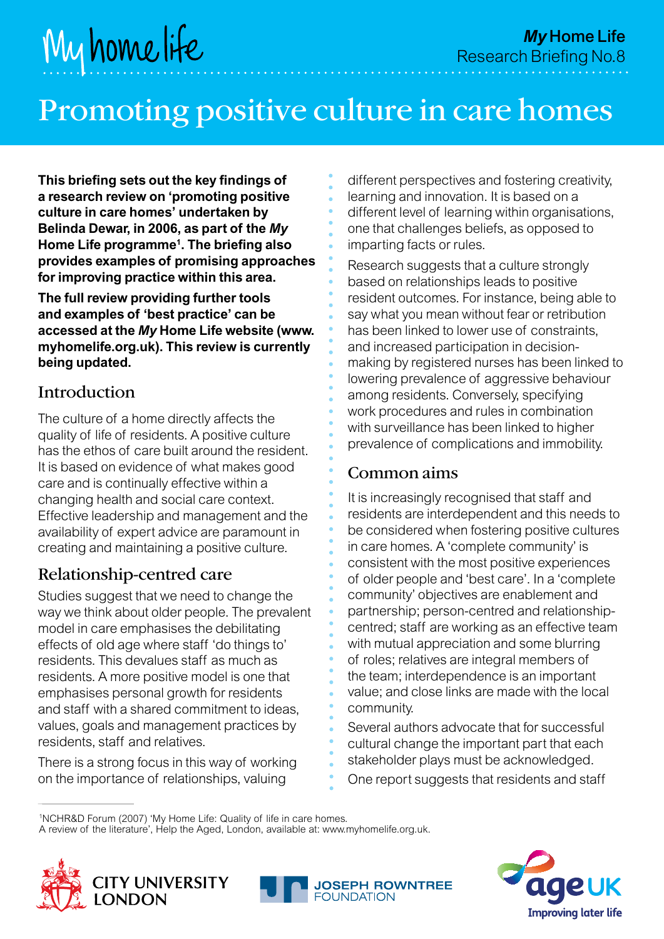# Promoting positive culture in care homes

**This briefing sets out the key findings of a research review on 'promoting positive culture in care homes' undertaken by Belinda Dewar, in 2006, as part of the** *My* **Home Life programme1 . The briefing also provides examples of promising approaches for improving practice within this area.**

**The full review providing further tools and examples of 'best practice' can be accessed at the** *My* **Home Life website (www. myhomelife.org.uk). This review is currently being updated.**

#### Introduction

The culture of a home directly affects the quality of life of residents. A positive culture has the ethos of care built around the resident. It is based on evidence of what makes good care and is continually effective within a changing health and social care context. Effective leadership and management and the availability of expert advice are paramount in creating and maintaining a positive culture.

## Relationship-centred care

Studies suggest that we need to change the way we think about older people. The prevalent model in care emphasises the debilitating effects of old age where staff 'do things to' residents. This devalues staff as much as residents. A more positive model is one that emphasises personal growth for residents and staff with a shared commitment to ideas, values, goals and management practices by residents, staff and relatives.

There is a strong focus in this way of working on the importance of relationships, valuing

different perspectives and fostering creativity, learning and innovation. It is based on a different level of learning within organisations, one that challenges beliefs, as opposed to imparting facts or rules.

Research suggests that a culture strongly based on relationships leads to positive resident outcomes. For instance, being able to say what you mean without fear or retribution has been linked to lower use of constraints, and increased participation in decisionmaking by registered nurses has been linked to lowering prevalence of aggressive behaviour among residents. Conversely, specifying work procedures and rules in combination with surveillance has been linked to higher prevalence of complications and immobility.

#### Common aims

It is increasingly recognised that staff and residents are interdependent and this needs to be considered when fostering positive cultures in care homes. A 'complete community' is consistent with the most positive experiences of older people and 'best care'. In a 'complete community' objectives are enablement and partnership; person-centred and relationshipcentred; staff are working as an effective team with mutual appreciation and some blurring of roles; relatives are integral members of the team; interdependence is an important value; and close links are made with the local community.

Several authors advocate that for successful cultural change the important part that each stakeholder plays must be acknowledged.

One report suggests that residents and staff

A review of the literature', Help the Aged, London, available at: www.myhomelife.org.uk.







<sup>1</sup> NCHR&D Forum (2007) 'My Home Life: Quality of life in care homes.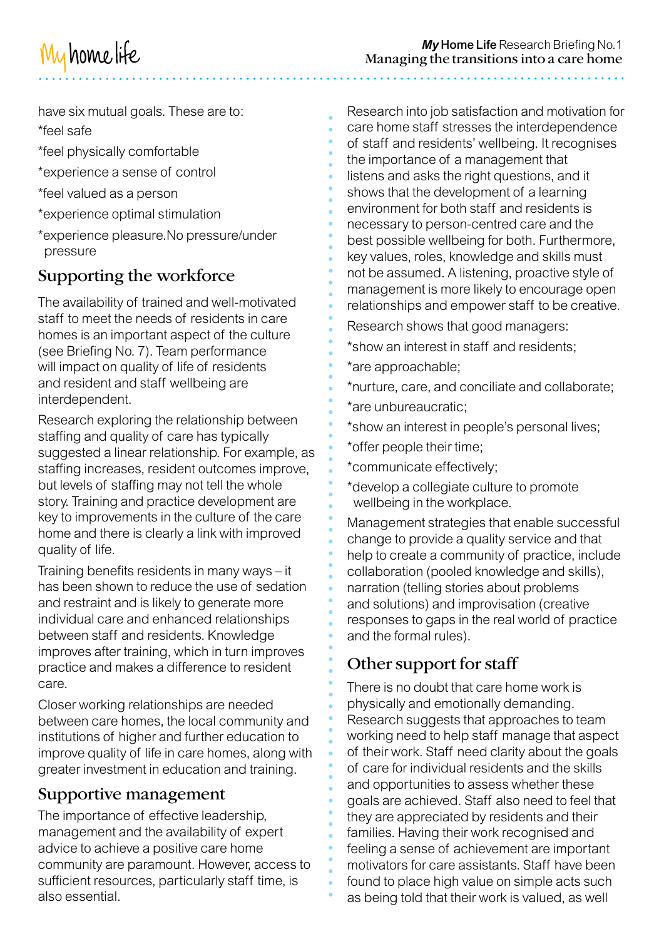

have six mutual goals. These are to: \*feel safe

- \*feel physically comfortable
- \*experience a sense of control
- \*feel valued as a person
- \*experience optimal stimulation
- \*experience pleasure.No pressure/under pressure

# Supporting the workforce

The availability of trained and well-motivated staff to meet the needs of residents in care homes is an important aspect of the culture (see Briefing No. 7). Team performance will impact on quality of life of residents and resident and staff wellbeing are interdependent.

Research exploring the relationship between staffing and quality of care has typically suggested a linear relationship. For example, as staffing increases, resident outcomes improve, but levels of staffing may not tell the whole story. Training and practice development are key to improvements in the culture of the care home and there is clearly a link with improved quality of life.

Training benefits residents in many ways – it has been shown to reduce the use of sedation and restraint and is likely to generate more individual care and enhanced relationships between staff and residents. Knowledge improves after training, which in turn improves practice and makes a difference to resident care.

Closer working relationships are needed between care homes, the local community and institutions of higher and further education to improve quality of life in care homes, along with greater investment in education and training.

#### Supportive management

The importance of effective leadership, management and the availability of expert advice to achieve a positive care home community are paramount. However, access to sufficient resources, particularly staff time, is also essential.

Research into job satisfaction and motivation for care home staff stresses the interdependence of staff and residents' wellbeing. It recognises the importance of a management that listens and asks the right questions, and it shows that the development of a learning environment for both staff and residents is necessary to person-centred care and the best possible wellbeing for both. Furthermore, key values, roles, knowledge and skills must not be assumed. A listening, proactive style of management is more likely to encourage open relationships and empower staff to be creative.

- Research shows that good managers:
- \*show an interest in staff and residents;
- \*are approachable;
- \*nurture, care, and conciliate and collaborate;
- \*are unbureaucratic;
- \*show an interest in people's personal lives;
- \*offer people their time;
- \*communicate effectively;
- \*develop a collegiate culture to promote wellbeing in the workplace.

Management strategies that enable successful change to provide a quality service and that help to create a community of practice, include collaboration (pooled knowledge and skills), narration (telling stories about problems and solutions) and improvisation (creative responses to gaps in the real world of practice and the formal rules).

# Other support for staff

There is no doubt that care home work is physically and emotionally demanding. Research suggests that approaches to team working need to help staff manage that aspect of their work. Staff need clarity about the goals of care for individual residents and the skills and opportunities to assess whether these goals are achieved. Staff also need to feel that they are appreciated by residents and their families. Having their work recognised and feeling a sense of achievement are important motivators for care assistants. Staff have been found to place high value on simple acts such as being told that their work is valued, as well